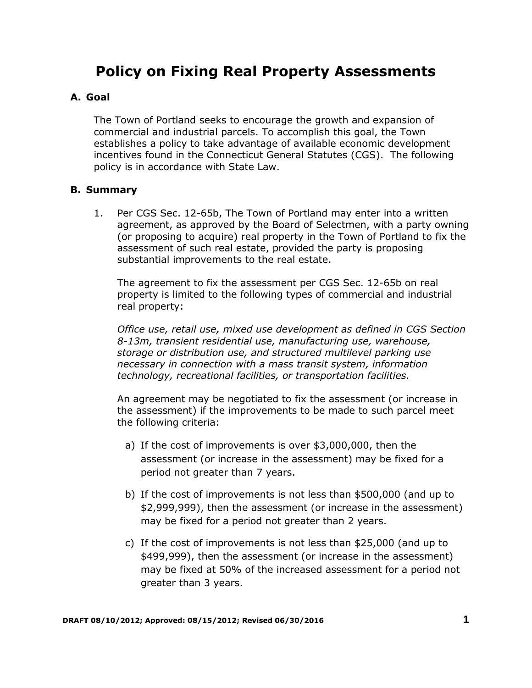## **Policy on Fixing Real Property Assessments**

## **A. Goal**

The Town of Portland seeks to encourage the growth and expansion of commercial and industrial parcels. To accomplish this goal, the Town establishes a policy to take advantage of available economic development incentives found in the Connecticut General Statutes (CGS). The following policy is in accordance with State Law.

## **B. Summary**

1. Per CGS Sec. 12-65b, The Town of Portland may enter into a written agreement, as approved by the Board of Selectmen, with a party owning (or proposing to acquire) real property in the Town of Portland to fix the assessment of such real estate, provided the party is proposing substantial improvements to the real estate.

The agreement to fix the assessment per CGS Sec. 12-65b on real property is limited to the following types of commercial and industrial real property:

*Office use, retail use, mixed use development as defined in CGS Section 8-13m, transient residential use, manufacturing use, warehouse, storage or distribution use, and structured multilevel parking use necessary in connection with a mass transit system, information technology, recreational facilities, or transportation facilities.*

An agreement may be negotiated to fix the assessment (or increase in the assessment) if the improvements to be made to such parcel meet the following criteria:

- a) If the cost of improvements is over \$3,000,000, then the assessment (or increase in the assessment) may be fixed for a period not greater than 7 years.
- b) If the cost of improvements is not less than \$500,000 (and up to \$2,999,999), then the assessment (or increase in the assessment) may be fixed for a period not greater than 2 years.
- c) If the cost of improvements is not less than \$25,000 (and up to \$499,999), then the assessment (or increase in the assessment) may be fixed at 50% of the increased assessment for a period not greater than 3 years.